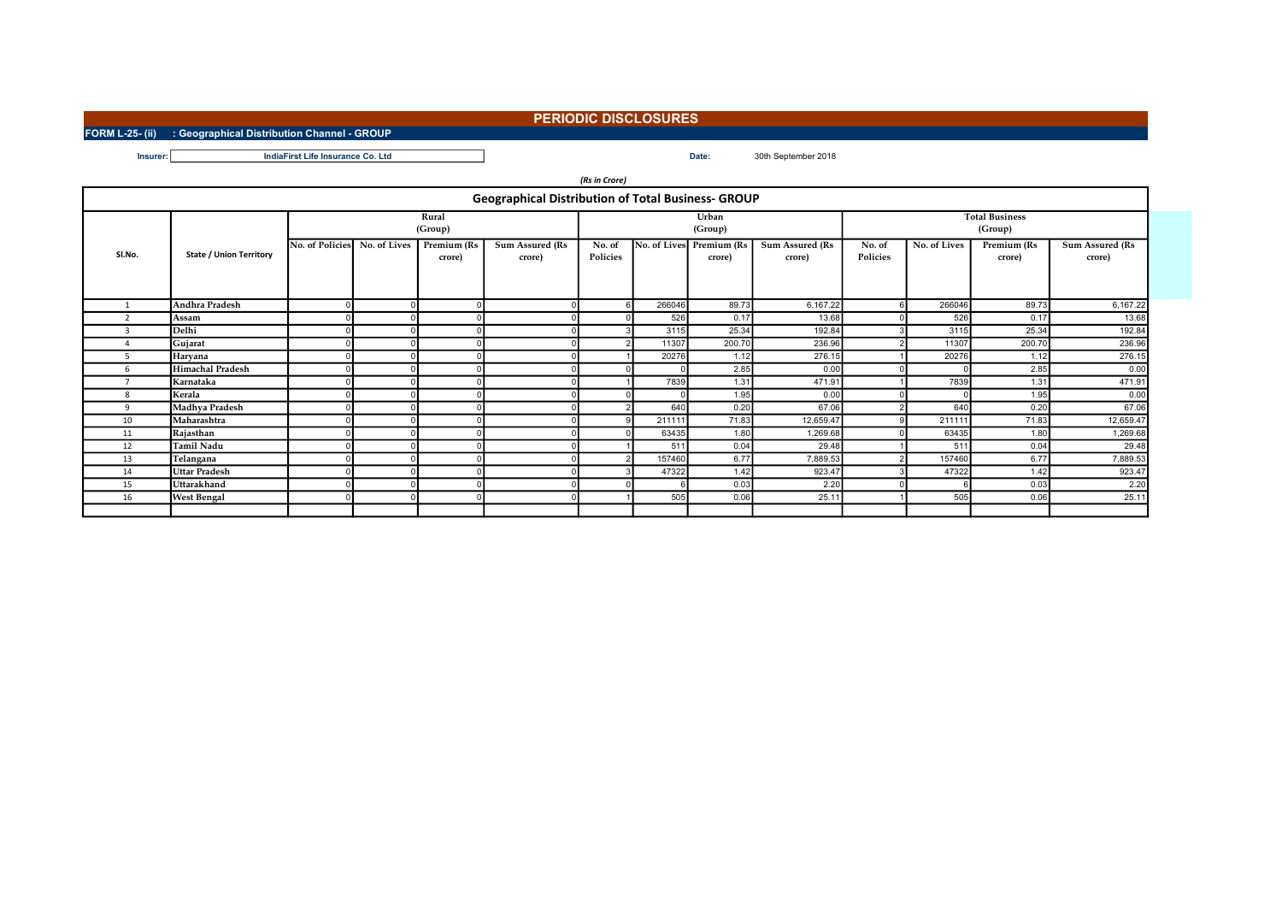## PERIODIC DISCLOSURES

Insurer: Date: 30th September 2018 IndiaFirst Life Insurance Co. Ltd

FORM L-25- (ii) : Geographical Distribution Channel - GROUP

|                                                           |                                |                  |              |                       |                                  | (Rs in Crore)      |              |                       |                                  |                                  |              |                       |                                  |  |
|-----------------------------------------------------------|--------------------------------|------------------|--------------|-----------------------|----------------------------------|--------------------|--------------|-----------------------|----------------------------------|----------------------------------|--------------|-----------------------|----------------------------------|--|
| <b>Geographical Distribution of Total Business- GROUP</b> |                                |                  |              |                       |                                  |                    |              |                       |                                  |                                  |              |                       |                                  |  |
|                                                           |                                | Rural<br>(Group) |              |                       |                                  |                    |              | Urban<br>(Group)      |                                  | <b>Total Business</b><br>(Group) |              |                       |                                  |  |
| Sl.No.                                                    | <b>State / Union Territory</b> | No. of Policies  | No. of Lives | Premium (Rs<br>crore) | <b>Sum Assured (Rs</b><br>crore) | No. of<br>Policies | No. of Lives | Premium (Rs<br>crore) | <b>Sum Assured (Rs</b><br>crore) | No. of<br>Policies               | No. of Lives | Premium (Rs<br>crore) | <b>Sum Assured (Rs</b><br>crore) |  |
|                                                           | Andhra Pradesh                 |                  |              |                       | $\Omega$                         |                    | 266046       | 89.73                 | 6,167.22                         |                                  | 266046       | 89.73                 | 6,167.22                         |  |
| $\mathbf{a}$                                              | Assam                          |                  |              |                       |                                  |                    | 526          | 0.17                  | 13.68                            |                                  | 526          | 0.17                  | 13.68                            |  |
| $\mathbf{3}$                                              | Delhi                          |                  |              |                       |                                  |                    | 3115         | 25.34                 | 192.84                           |                                  | 3115         | 25.34                 | 192.84                           |  |
| Δ                                                         | Gujarat                        |                  |              |                       | $\Omega$                         |                    | 11307        | 200.70                | 236.96                           |                                  | 11307        | 200.70                | 236.96                           |  |
| 5.                                                        | Haryana                        |                  |              |                       |                                  |                    | 20276        | 1.12                  | 276.15                           |                                  | 20276        | 1.12                  | 276.15                           |  |
| 6                                                         | <b>Himachal Pradesh</b>        |                  |              |                       |                                  |                    |              | 2.85                  | 0.00                             |                                  |              | 2.85                  | 0.00                             |  |
|                                                           | Karnataka                      |                  |              |                       |                                  |                    | 7839         | 1.31                  | 471.91                           |                                  | 7839         | 1.31                  | 471.91                           |  |
| 8                                                         | Kerala                         |                  |              |                       |                                  |                    |              | 1.95                  | 0.00                             |                                  |              | 1.95                  | 0.00                             |  |
| 9                                                         | Madhya Pradesh                 |                  |              |                       | <sup>n</sup>                     |                    | 640          | 0.20                  | 67.06                            |                                  | 640          | 0.20                  | 67.06                            |  |
| 10                                                        | Maharashtra                    |                  |              |                       |                                  |                    | 211111       | 71.83                 | 12,659.47                        |                                  | 211111       | 71.83                 | 12,659.47                        |  |
| 11                                                        | Rajasthan                      |                  |              |                       |                                  |                    | 63435        | 1.80                  | 1,269.68                         |                                  | 63435        | 1.80                  | 1,269.68                         |  |
| 12                                                        | Tamil Nadu                     |                  |              |                       |                                  |                    | 511          | 0.04                  | 29.48                            |                                  | 511          | 0.04                  | 29.48                            |  |
| 13                                                        | Telangana                      |                  |              |                       |                                  |                    | 157460       | 6.77                  | 7,889.53                         |                                  | 157460       | 6.77                  | 7,889.53                         |  |
| 14                                                        | <b>Uttar Pradesh</b>           |                  |              |                       |                                  |                    | 47322        | 1.42                  | 923.47                           |                                  | 47322        | 1.42                  | 923.47                           |  |
| 15                                                        | Uttarakhand                    |                  |              |                       |                                  |                    |              | 0.03                  | 2.20                             |                                  |              | 0.03                  | 2.20                             |  |
| 16                                                        | <b>West Bengal</b>             |                  |              |                       |                                  |                    | 505          | 0.06                  | 25.11                            |                                  | 505          | 0.06                  | 25.11                            |  |
|                                                           |                                |                  |              |                       |                                  |                    |              |                       |                                  |                                  |              |                       |                                  |  |